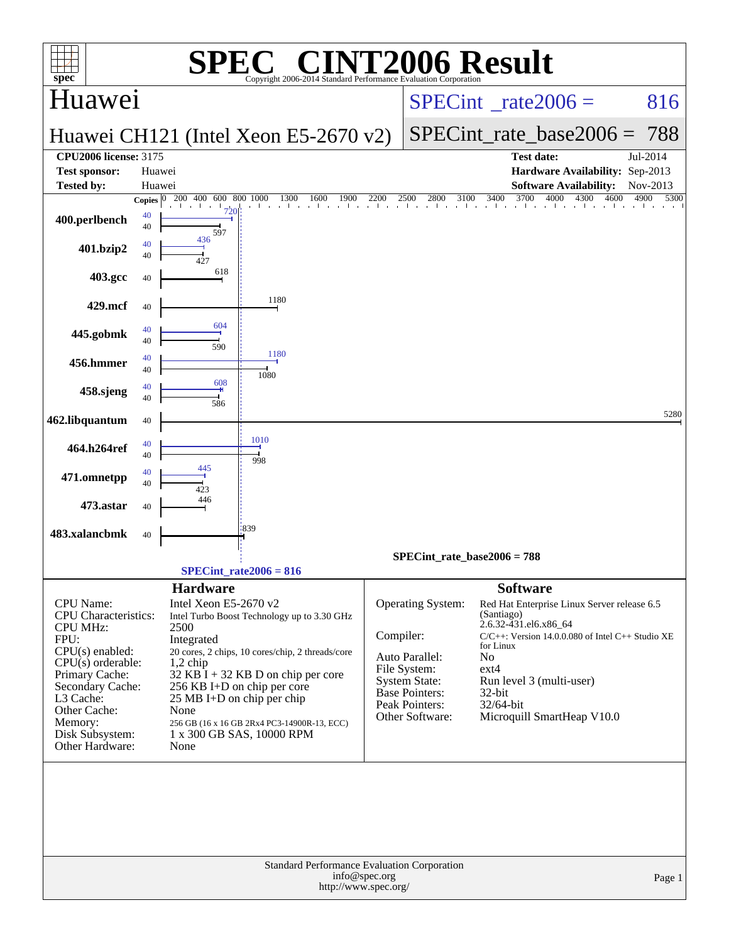| $spec^*$                                  |                  | SPE                                             | $\bigcap$<br>Copyright 2006-2014 Standard Performance Evaluation Corporation |               |                                   | <b>INT2006 Result</b>                                                               |                      |
|-------------------------------------------|------------------|-------------------------------------------------|------------------------------------------------------------------------------|---------------|-----------------------------------|-------------------------------------------------------------------------------------|----------------------|
| Huawei                                    |                  |                                                 |                                                                              |               |                                   | $SPECint^{\circ}$ rate $2006 =$                                                     | 816                  |
|                                           |                  |                                                 | Huawei CH121 (Intel Xeon E5-2670 v2)                                         |               |                                   | $SPECint_rate\_base2006 = 788$                                                      |                      |
| <b>CPU2006 license: 3175</b>              |                  |                                                 |                                                                              |               |                                   | <b>Test date:</b>                                                                   | Jul-2014             |
| <b>Test sponsor:</b><br><b>Tested by:</b> | Huawei<br>Huawei |                                                 |                                                                              |               |                                   | Hardware Availability: Sep-2013<br><b>Software Availability:</b>                    | Nov-2013             |
|                                           | Copies $ 0 $     | 200 400 600 800 1000<br>$\mathbf{1}$<br>$1$ 720 | 1300<br>1900<br>1600<br>the contractor that<br>and the con-                  | 2200          | 2800<br>2500<br>3100              | $\overline{3700}$<br>3400<br>4000<br>4300<br>a basa basa basa basa basa basa basa b | 4900<br>5300<br>4600 |
| 400.perlbench                             | 40<br>40         | 597                                             |                                                                              |               |                                   |                                                                                     |                      |
| 401.bzip2                                 | 40<br>40         | 436<br>427                                      |                                                                              |               |                                   |                                                                                     |                      |
| 403.gcc                                   | 40               | 618                                             |                                                                              |               |                                   |                                                                                     |                      |
| 429.mcf                                   | 40               |                                                 | 1180                                                                         |               |                                   |                                                                                     |                      |
| 445.gobmk                                 | 40<br>40         | 604                                             |                                                                              |               |                                   |                                                                                     |                      |
| 456.hmmer                                 | 40<br>40         | 590                                             | 1180                                                                         |               |                                   |                                                                                     |                      |
| 458.sjeng                                 | 40<br>40         | 608                                             | 1080                                                                         |               |                                   |                                                                                     |                      |
| 462.libquantum                            | 40               | 586                                             |                                                                              |               |                                   |                                                                                     | 5280                 |
| 464.h264ref                               | 40<br>40         |                                                 | 1010                                                                         |               |                                   |                                                                                     |                      |
| 471.omnetpp                               | 40<br>40         | 445                                             | 998                                                                          |               |                                   |                                                                                     |                      |
| 473.astar                                 | 40               | 423<br>446                                      |                                                                              |               |                                   |                                                                                     |                      |
| 483.xalancbmk                             | 40               |                                                 | 839                                                                          |               |                                   |                                                                                     |                      |
|                                           |                  |                                                 |                                                                              |               | $SPECint_rate_base2006 = 788$     |                                                                                     |                      |
|                                           |                  |                                                 | $SPECint_rate2006 = 816$                                                     |               |                                   |                                                                                     |                      |
| CPU Name:                                 |                  | <b>Hardware</b><br>Intel Xeon E5-2670 v2        |                                                                              |               | Operating System:                 | <b>Software</b><br>Red Hat Enterprise Linux Server release 6.5                      |                      |
| CPU Characteristics:                      |                  |                                                 | Intel Turbo Boost Technology up to 3.30 GHz                                  |               |                                   | (Santiago)<br>2.6.32-431.el6.x86_64                                                 |                      |
| <b>CPU MHz:</b><br>FPU:                   |                  | 2500<br>Integrated                              |                                                                              | Compiler:     |                                   | $C/C++$ : Version 14.0.0.080 of Intel $C++$ Studio XE                               |                      |
| $CPU(s)$ enabled:<br>$CPU(s)$ orderable:  |                  | $1,2$ chip                                      | 20 cores, 2 chips, 10 cores/chip, 2 threads/core                             |               | Auto Parallel:                    | for Linux<br>No                                                                     |                      |
| Primary Cache:                            |                  |                                                 | $32$ KB I + 32 KB D on chip per core                                         |               | File System:<br>System State:     | $ext{4}$<br>Run level 3 (multi-user)                                                |                      |
| Secondary Cache:<br>L3 Cache:             |                  |                                                 | 256 KB I+D on chip per core<br>25 MB I+D on chip per chip                    |               | <b>Base Pointers:</b>             | $32$ -bit                                                                           |                      |
| Other Cache:                              |                  | None                                            |                                                                              |               | Peak Pointers:<br>Other Software: | 32/64-bit<br>Microquill SmartHeap V10.0                                             |                      |
| Memory:                                   |                  |                                                 | 256 GB (16 x 16 GB 2Rx4 PC3-14900R-13, ECC)                                  |               |                                   |                                                                                     |                      |
| Disk Subsystem:<br>Other Hardware:        |                  | None                                            | 1 x 300 GB SAS, 10000 RPM                                                    |               |                                   |                                                                                     |                      |
|                                           |                  |                                                 |                                                                              |               |                                   |                                                                                     |                      |
|                                           |                  |                                                 | Standard Performance Evaluation Corporation<br>http://www.spec.org/          | info@spec.org |                                   |                                                                                     | Page 1               |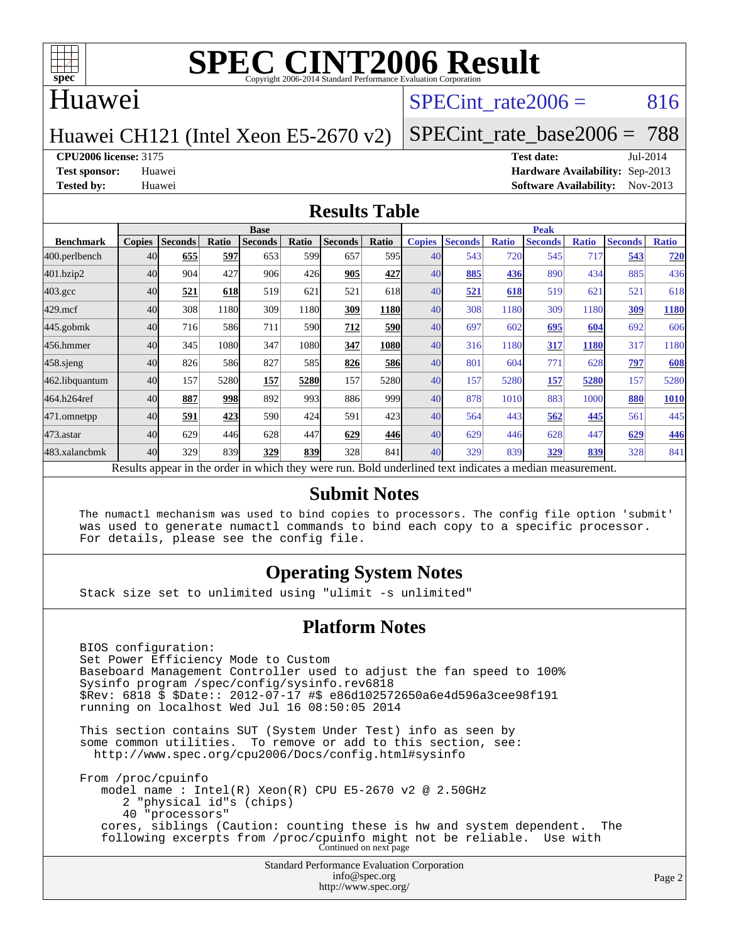

### Huawei

# SPECint rate $2006 = 816$

[SPECint\\_rate\\_base2006 =](http://www.spec.org/auto/cpu2006/Docs/result-fields.html#SPECintratebase2006) 788

### Huawei CH121 (Intel Xeon E5-2670 v2)

**[CPU2006 license:](http://www.spec.org/auto/cpu2006/Docs/result-fields.html#CPU2006license)** 3175 **[Test date:](http://www.spec.org/auto/cpu2006/Docs/result-fields.html#Testdate)** Jul-2014 **[Test sponsor:](http://www.spec.org/auto/cpu2006/Docs/result-fields.html#Testsponsor)** Huawei **[Hardware Availability:](http://www.spec.org/auto/cpu2006/Docs/result-fields.html#HardwareAvailability)** Sep-2013 **[Tested by:](http://www.spec.org/auto/cpu2006/Docs/result-fields.html#Testedby)** Huawei **[Software Availability:](http://www.spec.org/auto/cpu2006/Docs/result-fields.html#SoftwareAvailability)** Nov-2013

#### **[Results Table](http://www.spec.org/auto/cpu2006/Docs/result-fields.html#ResultsTable)**

|                                                                                                          | <b>Base</b>   |                |              |                |       |                |            | <b>Peak</b>   |                |              |                |              |                |              |
|----------------------------------------------------------------------------------------------------------|---------------|----------------|--------------|----------------|-------|----------------|------------|---------------|----------------|--------------|----------------|--------------|----------------|--------------|
| <b>Benchmark</b>                                                                                         | <b>Copies</b> | <b>Seconds</b> | <b>Ratio</b> | <b>Seconds</b> | Ratio | <b>Seconds</b> | Ratio      | <b>Copies</b> | <b>Seconds</b> | <b>Ratio</b> | <b>Seconds</b> | <b>Ratio</b> | <b>Seconds</b> | <b>Ratio</b> |
| 400.perlbench                                                                                            | 40            | 655            | 597          | 653            | 599   | 657            | 595I       | 40            | 543            | 720          | 545            | 717          | 543            | 720          |
| 401.bzip2                                                                                                | 40            | 904            | 427          | 906            | 426   | 905            | 427        | 40            | 885            | 436          | 890            | 434          | 885            | 436          |
| $403.\mathrm{gcc}$                                                                                       | 40            | 521            | 618          | 519            | 621   | 521            | 618        | 40            | 521            | 618          | 519            | 621          | 521            | 618          |
| $429$ .mcf                                                                                               | 40            | 308            | 1180         | 309            | 1180  | 309            | 1180       | 40            | 308            | 1180         | 309            | 1180         | 309            | 1180         |
| $445$ .gobmk                                                                                             | 40            | 716            | 586          | 711            | 590   | 712            | <b>590</b> | 40            | 697            | 602          | 695            | 604          | 692            | 606          |
| 456.hmmer                                                                                                | 40            | 345            | 1080         | 347            | 1080  | 347            | 1080       | 40            | 316            | 1180         | 317            | <b>1180</b>  | 317            | 1180         |
| $458$ .sjeng                                                                                             | 40            | 826            | 586          | 827            | 585   | 826            | <b>586</b> | 40            | 801            | 604          | 771            | 628          | 797            | 608          |
| 462.libquantum                                                                                           | 40            | 157            | 5280         | 157            | 5280  | 157            | 5280       | 40            | 157            | 5280         | 157            | 5280         | 157            | 5280         |
| 464.h264ref                                                                                              | 40            | 887            | 998          | 892            | 993   | 886            | 999        | 40            | 878            | 1010         | 883            | 1000         | 880            | 1010         |
| 471.omnetpp                                                                                              | 40            | 591            | 423          | 590            | 424   | 591            | 423        | 40            | 564            | 443          | 562            | 445          | 561            | 445          |
| $473.$ astar                                                                                             | 40            | 629            | 446          | 628            | 447   | 629            | 446        | 40            | 629            | 446          | 628            | 447          | 629            | 446          |
| 483.xalancbmk                                                                                            | 40            | 329            | 839          | 329            | 839   | 328            | 841        | 40            | 329            | 839          | 329            | 839          | 328            | 841          |
| Results appear in the order in which they were run. Bold underlined text indicates a median measurement. |               |                |              |                |       |                |            |               |                |              |                |              |                |              |

#### **[Submit Notes](http://www.spec.org/auto/cpu2006/Docs/result-fields.html#SubmitNotes)**

 The numactl mechanism was used to bind copies to processors. The config file option 'submit' was used to generate numactl commands to bind each copy to a specific processor. For details, please see the config file.

### **[Operating System Notes](http://www.spec.org/auto/cpu2006/Docs/result-fields.html#OperatingSystemNotes)**

Stack size set to unlimited using "ulimit -s unlimited"

#### **[Platform Notes](http://www.spec.org/auto/cpu2006/Docs/result-fields.html#PlatformNotes)**

 BIOS configuration: Set Power Efficiency Mode to Custom Baseboard Management Controller used to adjust the fan speed to 100% Sysinfo program /spec/config/sysinfo.rev6818 \$Rev: 6818 \$ \$Date:: 2012-07-17 #\$ e86d102572650a6e4d596a3cee98f191 running on localhost Wed Jul 16 08:50:05 2014 This section contains SUT (System Under Test) info as seen by some common utilities. To remove or add to this section, see: <http://www.spec.org/cpu2006/Docs/config.html#sysinfo> From /proc/cpuinfo model name : Intel(R) Xeon(R) CPU E5-2670 v2 @ 2.50GHz

 2 "physical id"s (chips) 40 "processors" cores, siblings (Caution: counting these is hw and system dependent. The following excerpts from /proc/cpuinfo might not be reliable. Use with Continued on next page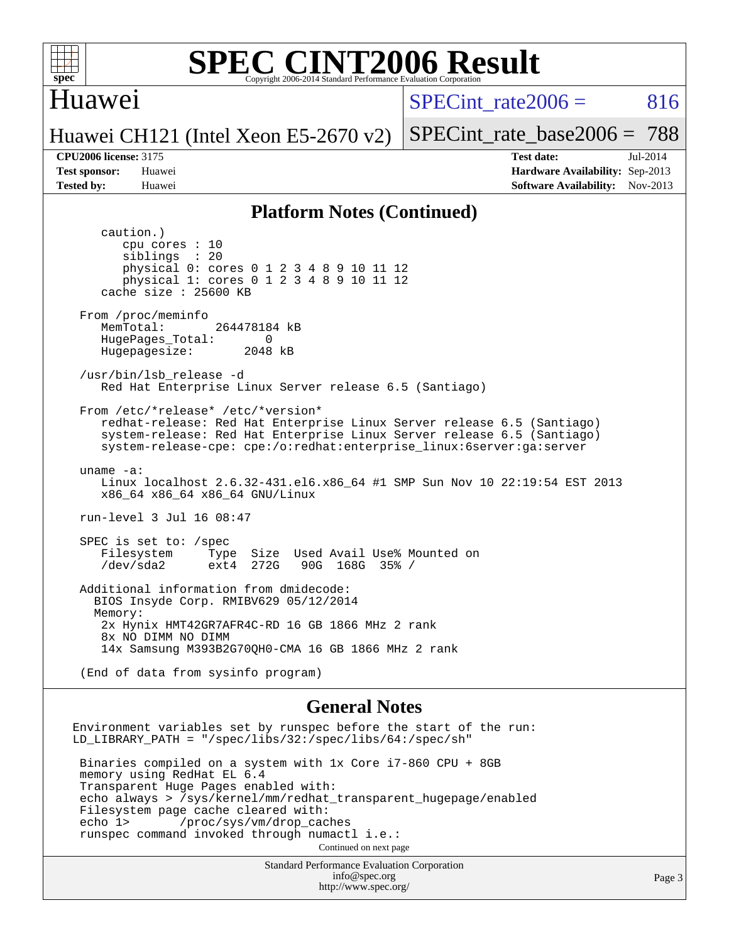

### Huawei

SPECint rate $2006 = 816$ 

Huawei CH121 (Intel Xeon E5-2670 v2)

[SPECint\\_rate\\_base2006 =](http://www.spec.org/auto/cpu2006/Docs/result-fields.html#SPECintratebase2006) 788

**[CPU2006 license:](http://www.spec.org/auto/cpu2006/Docs/result-fields.html#CPU2006license)** 3175 **[Test date:](http://www.spec.org/auto/cpu2006/Docs/result-fields.html#Testdate)** Jul-2014 **[Test sponsor:](http://www.spec.org/auto/cpu2006/Docs/result-fields.html#Testsponsor)** Huawei **[Hardware Availability:](http://www.spec.org/auto/cpu2006/Docs/result-fields.html#HardwareAvailability)** Sep-2013 **[Tested by:](http://www.spec.org/auto/cpu2006/Docs/result-fields.html#Testedby)** Huawei **[Software Availability:](http://www.spec.org/auto/cpu2006/Docs/result-fields.html#SoftwareAvailability)** Nov-2013

#### **[Platform Notes \(Continued\)](http://www.spec.org/auto/cpu2006/Docs/result-fields.html#PlatformNotes)**

 caution.) cpu cores : 10 siblings : 20 physical 0: cores 0 1 2 3 4 8 9 10 11 12 physical 1: cores 0 1 2 3 4 8 9 10 11 12 cache size : 25600 KB From /proc/meminfo MemTotal: 264478184 kB HugePages\_Total: 0<br>Hugepagesize: 2048 kB Hugepagesize: /usr/bin/lsb\_release -d Red Hat Enterprise Linux Server release 6.5 (Santiago) From /etc/\*release\* /etc/\*version\* redhat-release: Red Hat Enterprise Linux Server release 6.5 (Santiago) system-release: Red Hat Enterprise Linux Server release 6.5 (Santiago) system-release-cpe: cpe:/o:redhat:enterprise\_linux:6server:ga:server uname -a: Linux localhost 2.6.32-431.el6.x86\_64 #1 SMP Sun Nov 10 22:19:54 EST 2013 x86\_64 x86\_64 x86\_64 GNU/Linux run-level 3 Jul 16 08:47 SPEC is set to: /spec Filesystem Type Size Used Avail Use% Mounted on<br>
/dev/sda2 ext4 272G 90G 168G 35% / 90G 168G 35% / Additional information from dmidecode: BIOS Insyde Corp. RMIBV629 05/12/2014 Memory: 2x Hynix HMT42GR7AFR4C-RD 16 GB 1866 MHz 2 rank 8x NO DIMM NO DIMM 14x Samsung M393B2G70QH0-CMA 16 GB 1866 MHz 2 rank (End of data from sysinfo program) **[General Notes](http://www.spec.org/auto/cpu2006/Docs/result-fields.html#GeneralNotes)** Environment variables set by runspec before the start of the run: LD\_LIBRARY\_PATH = "/spec/libs/32:/spec/libs/64:/spec/sh" Binaries compiled on a system with 1x Core i7-860 CPU + 8GB memory using RedHat EL 6.4 Transparent Huge Pages enabled with: echo always > /sys/kernel/mm/redhat\_transparent\_hugepage/enabled Filesystem page cache cleared with:<br>echo 1> /proc/sys/vm/drop cac /proc/sys/vm/drop\_caches runspec command invoked through numactl i.e.: Continued on next page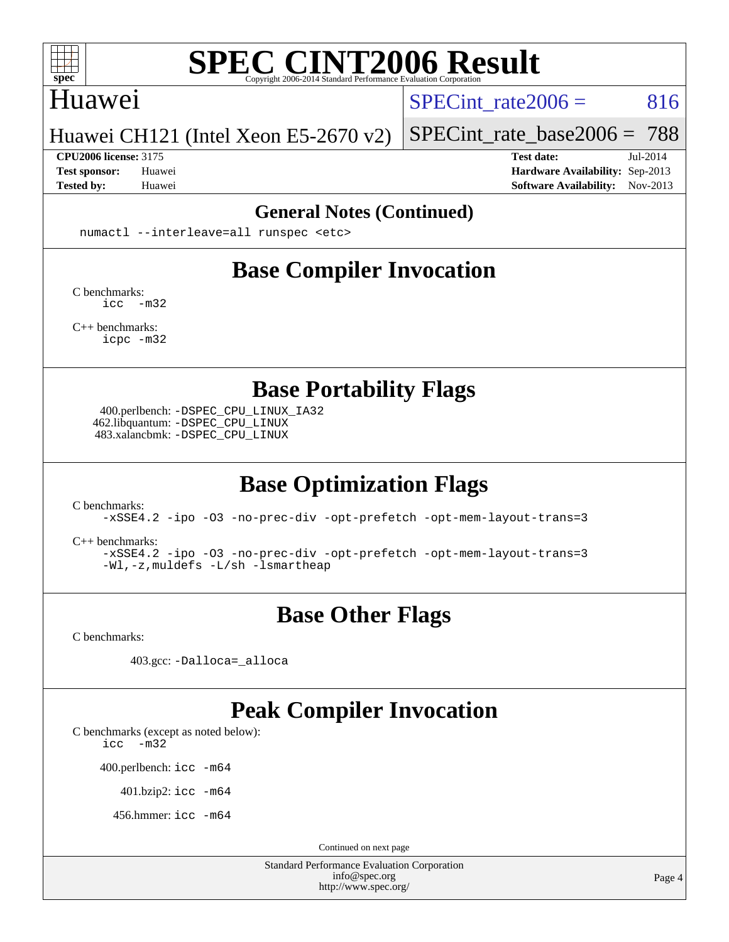

### Huawei

SPECint rate $2006 = 816$ 

Huawei CH121 (Intel Xeon E5-2670 v2)

#### **[CPU2006 license:](http://www.spec.org/auto/cpu2006/Docs/result-fields.html#CPU2006license)** 3175 **[Test date:](http://www.spec.org/auto/cpu2006/Docs/result-fields.html#Testdate)** Jul-2014

[SPECint\\_rate\\_base2006 =](http://www.spec.org/auto/cpu2006/Docs/result-fields.html#SPECintratebase2006) 788

**[Test sponsor:](http://www.spec.org/auto/cpu2006/Docs/result-fields.html#Testsponsor)** Huawei **[Hardware Availability:](http://www.spec.org/auto/cpu2006/Docs/result-fields.html#HardwareAvailability)** Sep-2013 **[Tested by:](http://www.spec.org/auto/cpu2006/Docs/result-fields.html#Testedby)** Huawei **[Software Availability:](http://www.spec.org/auto/cpu2006/Docs/result-fields.html#SoftwareAvailability)** Nov-2013

#### **[General Notes \(Continued\)](http://www.spec.org/auto/cpu2006/Docs/result-fields.html#GeneralNotes)**

numactl --interleave=all runspec <etc>

# **[Base Compiler Invocation](http://www.spec.org/auto/cpu2006/Docs/result-fields.html#BaseCompilerInvocation)**

[C benchmarks](http://www.spec.org/auto/cpu2006/Docs/result-fields.html#Cbenchmarks): [icc -m32](http://www.spec.org/cpu2006/results/res2014q3/cpu2006-20140725-30565.flags.html#user_CCbase_intel_icc_5ff4a39e364c98233615fdd38438c6f2)

[C++ benchmarks:](http://www.spec.org/auto/cpu2006/Docs/result-fields.html#CXXbenchmarks) [icpc -m32](http://www.spec.org/cpu2006/results/res2014q3/cpu2006-20140725-30565.flags.html#user_CXXbase_intel_icpc_4e5a5ef1a53fd332b3c49e69c3330699)

**[Base Portability Flags](http://www.spec.org/auto/cpu2006/Docs/result-fields.html#BasePortabilityFlags)**

 400.perlbench: [-DSPEC\\_CPU\\_LINUX\\_IA32](http://www.spec.org/cpu2006/results/res2014q3/cpu2006-20140725-30565.flags.html#b400.perlbench_baseCPORTABILITY_DSPEC_CPU_LINUX_IA32) 462.libquantum: [-DSPEC\\_CPU\\_LINUX](http://www.spec.org/cpu2006/results/res2014q3/cpu2006-20140725-30565.flags.html#b462.libquantum_baseCPORTABILITY_DSPEC_CPU_LINUX) 483.xalancbmk: [-DSPEC\\_CPU\\_LINUX](http://www.spec.org/cpu2006/results/res2014q3/cpu2006-20140725-30565.flags.html#b483.xalancbmk_baseCXXPORTABILITY_DSPEC_CPU_LINUX)

# **[Base Optimization Flags](http://www.spec.org/auto/cpu2006/Docs/result-fields.html#BaseOptimizationFlags)**

[C benchmarks](http://www.spec.org/auto/cpu2006/Docs/result-fields.html#Cbenchmarks):

[-xSSE4.2](http://www.spec.org/cpu2006/results/res2014q3/cpu2006-20140725-30565.flags.html#user_CCbase_f-xSSE42_f91528193cf0b216347adb8b939d4107) [-ipo](http://www.spec.org/cpu2006/results/res2014q3/cpu2006-20140725-30565.flags.html#user_CCbase_f-ipo) [-O3](http://www.spec.org/cpu2006/results/res2014q3/cpu2006-20140725-30565.flags.html#user_CCbase_f-O3) [-no-prec-div](http://www.spec.org/cpu2006/results/res2014q3/cpu2006-20140725-30565.flags.html#user_CCbase_f-no-prec-div) [-opt-prefetch](http://www.spec.org/cpu2006/results/res2014q3/cpu2006-20140725-30565.flags.html#user_CCbase_f-opt-prefetch) [-opt-mem-layout-trans=3](http://www.spec.org/cpu2006/results/res2014q3/cpu2006-20140725-30565.flags.html#user_CCbase_f-opt-mem-layout-trans_a7b82ad4bd7abf52556d4961a2ae94d5)

[C++ benchmarks:](http://www.spec.org/auto/cpu2006/Docs/result-fields.html#CXXbenchmarks)

[-xSSE4.2](http://www.spec.org/cpu2006/results/res2014q3/cpu2006-20140725-30565.flags.html#user_CXXbase_f-xSSE42_f91528193cf0b216347adb8b939d4107) [-ipo](http://www.spec.org/cpu2006/results/res2014q3/cpu2006-20140725-30565.flags.html#user_CXXbase_f-ipo) [-O3](http://www.spec.org/cpu2006/results/res2014q3/cpu2006-20140725-30565.flags.html#user_CXXbase_f-O3) [-no-prec-div](http://www.spec.org/cpu2006/results/res2014q3/cpu2006-20140725-30565.flags.html#user_CXXbase_f-no-prec-div) [-opt-prefetch](http://www.spec.org/cpu2006/results/res2014q3/cpu2006-20140725-30565.flags.html#user_CXXbase_f-opt-prefetch) [-opt-mem-layout-trans=3](http://www.spec.org/cpu2006/results/res2014q3/cpu2006-20140725-30565.flags.html#user_CXXbase_f-opt-mem-layout-trans_a7b82ad4bd7abf52556d4961a2ae94d5) [-Wl,-z,muldefs](http://www.spec.org/cpu2006/results/res2014q3/cpu2006-20140725-30565.flags.html#user_CXXbase_link_force_multiple1_74079c344b956b9658436fd1b6dd3a8a) [-L/sh -lsmartheap](http://www.spec.org/cpu2006/results/res2014q3/cpu2006-20140725-30565.flags.html#user_CXXbase_SmartHeap_32f6c82aa1ed9c52345d30cf6e4a0499)

# **[Base Other Flags](http://www.spec.org/auto/cpu2006/Docs/result-fields.html#BaseOtherFlags)**

[C benchmarks](http://www.spec.org/auto/cpu2006/Docs/result-fields.html#Cbenchmarks):

403.gcc: [-Dalloca=\\_alloca](http://www.spec.org/cpu2006/results/res2014q3/cpu2006-20140725-30565.flags.html#b403.gcc_baseEXTRA_CFLAGS_Dalloca_be3056838c12de2578596ca5467af7f3)

# **[Peak Compiler Invocation](http://www.spec.org/auto/cpu2006/Docs/result-fields.html#PeakCompilerInvocation)**

[C benchmarks \(except as noted below\)](http://www.spec.org/auto/cpu2006/Docs/result-fields.html#Cbenchmarksexceptasnotedbelow):

[icc -m32](http://www.spec.org/cpu2006/results/res2014q3/cpu2006-20140725-30565.flags.html#user_CCpeak_intel_icc_5ff4a39e364c98233615fdd38438c6f2)

400.perlbench: [icc -m64](http://www.spec.org/cpu2006/results/res2014q3/cpu2006-20140725-30565.flags.html#user_peakCCLD400_perlbench_intel_icc_64bit_bda6cc9af1fdbb0edc3795bac97ada53)

401.bzip2: [icc -m64](http://www.spec.org/cpu2006/results/res2014q3/cpu2006-20140725-30565.flags.html#user_peakCCLD401_bzip2_intel_icc_64bit_bda6cc9af1fdbb0edc3795bac97ada53)

456.hmmer: [icc -m64](http://www.spec.org/cpu2006/results/res2014q3/cpu2006-20140725-30565.flags.html#user_peakCCLD456_hmmer_intel_icc_64bit_bda6cc9af1fdbb0edc3795bac97ada53)

Continued on next page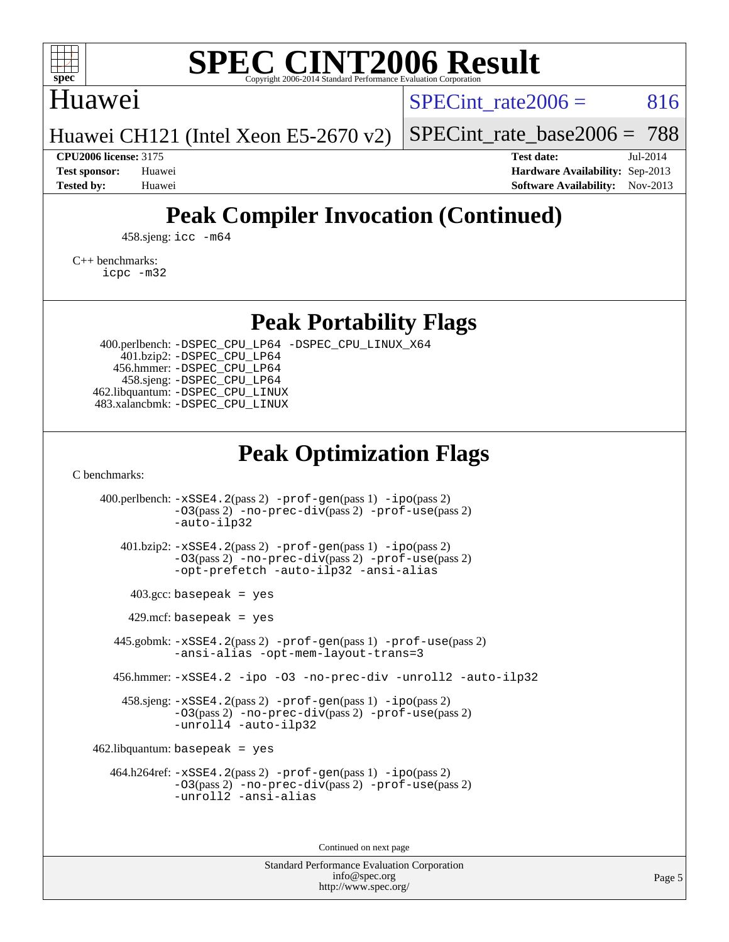

# Huawei

SPECint rate $2006 = 816$ 

[SPECint\\_rate\\_base2006 =](http://www.spec.org/auto/cpu2006/Docs/result-fields.html#SPECintratebase2006) 788

Huawei CH121 (Intel Xeon E5-2670 v2)

**[CPU2006 license:](http://www.spec.org/auto/cpu2006/Docs/result-fields.html#CPU2006license)** 3175 **[Test date:](http://www.spec.org/auto/cpu2006/Docs/result-fields.html#Testdate)** Jul-2014 **[Test sponsor:](http://www.spec.org/auto/cpu2006/Docs/result-fields.html#Testsponsor)** Huawei **[Hardware Availability:](http://www.spec.org/auto/cpu2006/Docs/result-fields.html#HardwareAvailability)** Sep-2013 **[Tested by:](http://www.spec.org/auto/cpu2006/Docs/result-fields.html#Testedby)** Huawei **[Software Availability:](http://www.spec.org/auto/cpu2006/Docs/result-fields.html#SoftwareAvailability)** Nov-2013

# **[Peak Compiler Invocation \(Continued\)](http://www.spec.org/auto/cpu2006/Docs/result-fields.html#PeakCompilerInvocation)**

458.sjeng: [icc -m64](http://www.spec.org/cpu2006/results/res2014q3/cpu2006-20140725-30565.flags.html#user_peakCCLD458_sjeng_intel_icc_64bit_bda6cc9af1fdbb0edc3795bac97ada53)

[C++ benchmarks:](http://www.spec.org/auto/cpu2006/Docs/result-fields.html#CXXbenchmarks) [icpc -m32](http://www.spec.org/cpu2006/results/res2014q3/cpu2006-20140725-30565.flags.html#user_CXXpeak_intel_icpc_4e5a5ef1a53fd332b3c49e69c3330699)

**[Peak Portability Flags](http://www.spec.org/auto/cpu2006/Docs/result-fields.html#PeakPortabilityFlags)**

 400.perlbench: [-DSPEC\\_CPU\\_LP64](http://www.spec.org/cpu2006/results/res2014q3/cpu2006-20140725-30565.flags.html#b400.perlbench_peakCPORTABILITY_DSPEC_CPU_LP64) [-DSPEC\\_CPU\\_LINUX\\_X64](http://www.spec.org/cpu2006/results/res2014q3/cpu2006-20140725-30565.flags.html#b400.perlbench_peakCPORTABILITY_DSPEC_CPU_LINUX_X64) 401.bzip2: [-DSPEC\\_CPU\\_LP64](http://www.spec.org/cpu2006/results/res2014q3/cpu2006-20140725-30565.flags.html#suite_peakCPORTABILITY401_bzip2_DSPEC_CPU_LP64) 456.hmmer: [-DSPEC\\_CPU\\_LP64](http://www.spec.org/cpu2006/results/res2014q3/cpu2006-20140725-30565.flags.html#suite_peakCPORTABILITY456_hmmer_DSPEC_CPU_LP64) 458.sjeng: [-DSPEC\\_CPU\\_LP64](http://www.spec.org/cpu2006/results/res2014q3/cpu2006-20140725-30565.flags.html#suite_peakCPORTABILITY458_sjeng_DSPEC_CPU_LP64) 462.libquantum: [-DSPEC\\_CPU\\_LINUX](http://www.spec.org/cpu2006/results/res2014q3/cpu2006-20140725-30565.flags.html#b462.libquantum_peakCPORTABILITY_DSPEC_CPU_LINUX) 483.xalancbmk: [-DSPEC\\_CPU\\_LINUX](http://www.spec.org/cpu2006/results/res2014q3/cpu2006-20140725-30565.flags.html#b483.xalancbmk_peakCXXPORTABILITY_DSPEC_CPU_LINUX)

# **[Peak Optimization Flags](http://www.spec.org/auto/cpu2006/Docs/result-fields.html#PeakOptimizationFlags)**

[C benchmarks](http://www.spec.org/auto/cpu2006/Docs/result-fields.html#Cbenchmarks):

 400.perlbench: [-xSSE4.2](http://www.spec.org/cpu2006/results/res2014q3/cpu2006-20140725-30565.flags.html#user_peakPASS2_CFLAGSPASS2_LDCFLAGS400_perlbench_f-xSSE42_f91528193cf0b216347adb8b939d4107)(pass 2) [-prof-gen](http://www.spec.org/cpu2006/results/res2014q3/cpu2006-20140725-30565.flags.html#user_peakPASS1_CFLAGSPASS1_LDCFLAGS400_perlbench_prof_gen_e43856698f6ca7b7e442dfd80e94a8fc)(pass 1) [-ipo](http://www.spec.org/cpu2006/results/res2014q3/cpu2006-20140725-30565.flags.html#user_peakPASS2_CFLAGSPASS2_LDCFLAGS400_perlbench_f-ipo)(pass 2) [-O3](http://www.spec.org/cpu2006/results/res2014q3/cpu2006-20140725-30565.flags.html#user_peakPASS2_CFLAGSPASS2_LDCFLAGS400_perlbench_f-O3)(pass 2) [-no-prec-div](http://www.spec.org/cpu2006/results/res2014q3/cpu2006-20140725-30565.flags.html#user_peakPASS2_CFLAGSPASS2_LDCFLAGS400_perlbench_f-no-prec-div)(pass 2) [-prof-use](http://www.spec.org/cpu2006/results/res2014q3/cpu2006-20140725-30565.flags.html#user_peakPASS2_CFLAGSPASS2_LDCFLAGS400_perlbench_prof_use_bccf7792157ff70d64e32fe3e1250b55)(pass 2) [-auto-ilp32](http://www.spec.org/cpu2006/results/res2014q3/cpu2006-20140725-30565.flags.html#user_peakCOPTIMIZE400_perlbench_f-auto-ilp32) 401.bzip2: [-xSSE4.2](http://www.spec.org/cpu2006/results/res2014q3/cpu2006-20140725-30565.flags.html#user_peakPASS2_CFLAGSPASS2_LDCFLAGS401_bzip2_f-xSSE42_f91528193cf0b216347adb8b939d4107)(pass 2) [-prof-gen](http://www.spec.org/cpu2006/results/res2014q3/cpu2006-20140725-30565.flags.html#user_peakPASS1_CFLAGSPASS1_LDCFLAGS401_bzip2_prof_gen_e43856698f6ca7b7e442dfd80e94a8fc)(pass 1) [-ipo](http://www.spec.org/cpu2006/results/res2014q3/cpu2006-20140725-30565.flags.html#user_peakPASS2_CFLAGSPASS2_LDCFLAGS401_bzip2_f-ipo)(pass 2) [-O3](http://www.spec.org/cpu2006/results/res2014q3/cpu2006-20140725-30565.flags.html#user_peakPASS2_CFLAGSPASS2_LDCFLAGS401_bzip2_f-O3)(pass 2) [-no-prec-div](http://www.spec.org/cpu2006/results/res2014q3/cpu2006-20140725-30565.flags.html#user_peakPASS2_CFLAGSPASS2_LDCFLAGS401_bzip2_f-no-prec-div)(pass 2) [-prof-use](http://www.spec.org/cpu2006/results/res2014q3/cpu2006-20140725-30565.flags.html#user_peakPASS2_CFLAGSPASS2_LDCFLAGS401_bzip2_prof_use_bccf7792157ff70d64e32fe3e1250b55)(pass 2) [-opt-prefetch](http://www.spec.org/cpu2006/results/res2014q3/cpu2006-20140725-30565.flags.html#user_peakCOPTIMIZE401_bzip2_f-opt-prefetch) [-auto-ilp32](http://www.spec.org/cpu2006/results/res2014q3/cpu2006-20140725-30565.flags.html#user_peakCOPTIMIZE401_bzip2_f-auto-ilp32) [-ansi-alias](http://www.spec.org/cpu2006/results/res2014q3/cpu2006-20140725-30565.flags.html#user_peakCOPTIMIZE401_bzip2_f-ansi-alias)  $403.\text{gcc: basepeak}$  = yes  $429$ .mcf: basepeak = yes 445.gobmk: [-xSSE4.2](http://www.spec.org/cpu2006/results/res2014q3/cpu2006-20140725-30565.flags.html#user_peakPASS2_CFLAGSPASS2_LDCFLAGS445_gobmk_f-xSSE42_f91528193cf0b216347adb8b939d4107)(pass 2) [-prof-gen](http://www.spec.org/cpu2006/results/res2014q3/cpu2006-20140725-30565.flags.html#user_peakPASS1_CFLAGSPASS1_LDCFLAGS445_gobmk_prof_gen_e43856698f6ca7b7e442dfd80e94a8fc)(pass 1) [-prof-use](http://www.spec.org/cpu2006/results/res2014q3/cpu2006-20140725-30565.flags.html#user_peakPASS2_CFLAGSPASS2_LDCFLAGS445_gobmk_prof_use_bccf7792157ff70d64e32fe3e1250b55)(pass 2) [-ansi-alias](http://www.spec.org/cpu2006/results/res2014q3/cpu2006-20140725-30565.flags.html#user_peakCOPTIMIZE445_gobmk_f-ansi-alias) [-opt-mem-layout-trans=3](http://www.spec.org/cpu2006/results/res2014q3/cpu2006-20140725-30565.flags.html#user_peakCOPTIMIZE445_gobmk_f-opt-mem-layout-trans_a7b82ad4bd7abf52556d4961a2ae94d5) 456.hmmer: [-xSSE4.2](http://www.spec.org/cpu2006/results/res2014q3/cpu2006-20140725-30565.flags.html#user_peakCOPTIMIZE456_hmmer_f-xSSE42_f91528193cf0b216347adb8b939d4107) [-ipo](http://www.spec.org/cpu2006/results/res2014q3/cpu2006-20140725-30565.flags.html#user_peakCOPTIMIZE456_hmmer_f-ipo) [-O3](http://www.spec.org/cpu2006/results/res2014q3/cpu2006-20140725-30565.flags.html#user_peakCOPTIMIZE456_hmmer_f-O3) [-no-prec-div](http://www.spec.org/cpu2006/results/res2014q3/cpu2006-20140725-30565.flags.html#user_peakCOPTIMIZE456_hmmer_f-no-prec-div) [-unroll2](http://www.spec.org/cpu2006/results/res2014q3/cpu2006-20140725-30565.flags.html#user_peakCOPTIMIZE456_hmmer_f-unroll_784dae83bebfb236979b41d2422d7ec2) [-auto-ilp32](http://www.spec.org/cpu2006/results/res2014q3/cpu2006-20140725-30565.flags.html#user_peakCOPTIMIZE456_hmmer_f-auto-ilp32) 458.sjeng: [-xSSE4.2](http://www.spec.org/cpu2006/results/res2014q3/cpu2006-20140725-30565.flags.html#user_peakPASS2_CFLAGSPASS2_LDCFLAGS458_sjeng_f-xSSE42_f91528193cf0b216347adb8b939d4107)(pass 2) [-prof-gen](http://www.spec.org/cpu2006/results/res2014q3/cpu2006-20140725-30565.flags.html#user_peakPASS1_CFLAGSPASS1_LDCFLAGS458_sjeng_prof_gen_e43856698f6ca7b7e442dfd80e94a8fc)(pass 1) [-ipo](http://www.spec.org/cpu2006/results/res2014q3/cpu2006-20140725-30565.flags.html#user_peakPASS2_CFLAGSPASS2_LDCFLAGS458_sjeng_f-ipo)(pass 2) [-O3](http://www.spec.org/cpu2006/results/res2014q3/cpu2006-20140725-30565.flags.html#user_peakPASS2_CFLAGSPASS2_LDCFLAGS458_sjeng_f-O3)(pass 2) [-no-prec-div](http://www.spec.org/cpu2006/results/res2014q3/cpu2006-20140725-30565.flags.html#user_peakPASS2_CFLAGSPASS2_LDCFLAGS458_sjeng_f-no-prec-div)(pass 2) [-prof-use](http://www.spec.org/cpu2006/results/res2014q3/cpu2006-20140725-30565.flags.html#user_peakPASS2_CFLAGSPASS2_LDCFLAGS458_sjeng_prof_use_bccf7792157ff70d64e32fe3e1250b55)(pass 2) [-unroll4](http://www.spec.org/cpu2006/results/res2014q3/cpu2006-20140725-30565.flags.html#user_peakCOPTIMIZE458_sjeng_f-unroll_4e5e4ed65b7fd20bdcd365bec371b81f) [-auto-ilp32](http://www.spec.org/cpu2006/results/res2014q3/cpu2006-20140725-30565.flags.html#user_peakCOPTIMIZE458_sjeng_f-auto-ilp32)  $462$ .libquantum: basepeak = yes 464.h264ref: [-xSSE4.2](http://www.spec.org/cpu2006/results/res2014q3/cpu2006-20140725-30565.flags.html#user_peakPASS2_CFLAGSPASS2_LDCFLAGS464_h264ref_f-xSSE42_f91528193cf0b216347adb8b939d4107)(pass 2) [-prof-gen](http://www.spec.org/cpu2006/results/res2014q3/cpu2006-20140725-30565.flags.html#user_peakPASS1_CFLAGSPASS1_LDCFLAGS464_h264ref_prof_gen_e43856698f6ca7b7e442dfd80e94a8fc)(pass 1) [-ipo](http://www.spec.org/cpu2006/results/res2014q3/cpu2006-20140725-30565.flags.html#user_peakPASS2_CFLAGSPASS2_LDCFLAGS464_h264ref_f-ipo)(pass 2) [-O3](http://www.spec.org/cpu2006/results/res2014q3/cpu2006-20140725-30565.flags.html#user_peakPASS2_CFLAGSPASS2_LDCFLAGS464_h264ref_f-O3)(pass 2) [-no-prec-div](http://www.spec.org/cpu2006/results/res2014q3/cpu2006-20140725-30565.flags.html#user_peakPASS2_CFLAGSPASS2_LDCFLAGS464_h264ref_f-no-prec-div)(pass 2) [-prof-use](http://www.spec.org/cpu2006/results/res2014q3/cpu2006-20140725-30565.flags.html#user_peakPASS2_CFLAGSPASS2_LDCFLAGS464_h264ref_prof_use_bccf7792157ff70d64e32fe3e1250b55)(pass 2) [-unroll2](http://www.spec.org/cpu2006/results/res2014q3/cpu2006-20140725-30565.flags.html#user_peakCOPTIMIZE464_h264ref_f-unroll_784dae83bebfb236979b41d2422d7ec2) [-ansi-alias](http://www.spec.org/cpu2006/results/res2014q3/cpu2006-20140725-30565.flags.html#user_peakCOPTIMIZE464_h264ref_f-ansi-alias)

Continued on next page